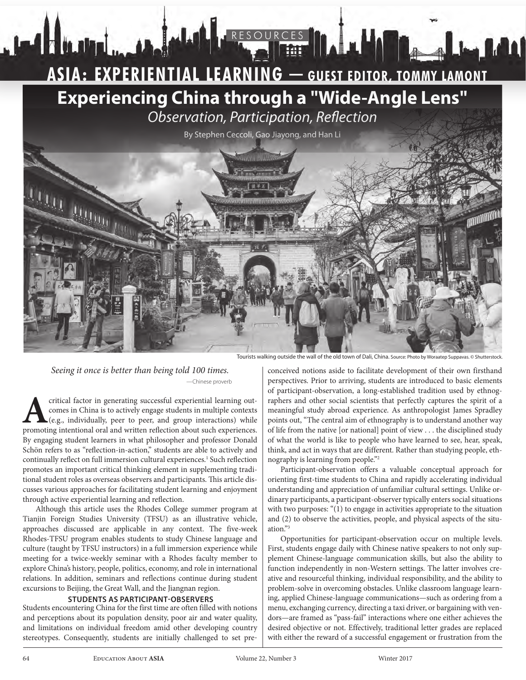# **ASIA: EXPERIENTIAL LEARNING — GUEST EDITOR, TOMMY LAMONT ASIA: EXPERIENTIAL LEARNING — GUEST EDITOR, TOMMY LAMONT Experiencing China through a "Wide-Angle Lens"** *Observation, Participation, Reflection*

RESOURCES





*Seeing it once is better than being told 100 times.*  —Chinese proverb

Hunnai <sub>ma</sub>n

critical factor in generating successful experiential learning out-<br>comes in China is to actively engage students in multiple contexts<br>(e.g., individually, peer to peer, and group interactions) while<br>promoting intentional comes in China is to actively engage students in multiple contexts (e.g., individually, peer to peer, and group interactions) while promoting intentional oral and written reflection about such experiences. By engaging student learners in what philosopher and professor Donald Schön refers to as "reflection-in-action," students are able to actively and continually reflect on full immersion cultural experiences.<sup>1</sup> Such reflection promotes an important critical thinking element in supplementing traditional student roles as overseas observers and participants. This article discusses various approaches for facilitating student learning and enjoyment through active experiential learning and reflection.

Although this article uses the Rhodes College summer program at Tianjin Foreign Studies University (TFSU) as an illustrative vehicle, approaches discussed are applicable in any context. The five-week Rhodes-TFSU program enables students to study Chinese language and culture (taught by TFSU instructors) in a full immersion experience while meeting for a twice-weekly seminar with a Rhodes faculty member to explore China's history, people, politics, economy, and role in international relations. In addition, seminars and reflections continue during student excursions to Beijing, the Great Wall, and the Jiangnan region.

# **STUDENTS AS PARTICIPANT-OBSERVERS**

Students encountering China for the first time are often filled with notions and perceptions about its population density, poor air and water quality, and limitations on individual freedom amid other developing country stereotypes. Consequently, students are initially challenged to set pre-

conceived notions aside to facilitate development of their own firsthand perspectives. Prior to arriving, students are introduced to basic elements of participant-observation, a long-established tradition used by ethnographers and other social scientists that perfectly captures the spirit of a meaningful study abroad experience. As anthropologist James Spradley points out, "The central aim of ethnography is to understand another way of life from the native [or national] point of view . . . the disciplined study of what the world is like to people who have learned to see, hear, speak, think, and act in ways that are different. Rather than studying people, ethnography is learning from people."2

Participant-observation offers a valuable conceptual approach for orienting first-time students to China and rapidly accelerating individual understanding and appreciation of unfamiliar cultural settings. Unlike ordinary participants, a participant-observer typically enters social situations with two purposes: "(1) to engage in activities appropriate to the situation and (2) to observe the activities, people, and physical aspects of the situation."3

Opportunities for participant-observation occur on multiple levels. First, students engage daily with Chinese native speakers to not only supplement Chinese-language communication skills, but also the ability to function independently in non-Western settings. The latter involves creative and resourceful thinking, individual responsibility, and the ability to problem-solve in overcoming obstacles. Unlike classroom language learning, applied Chinese-language communications—such as ordering from a menu, exchanging currency, directing a taxi driver, or bargaining with vendors—are framed as "pass-fail" interactions where one either achieves the desired objective or not. Effectively, traditional letter grades are replaced with either the reward of a successful engagement or frustration from the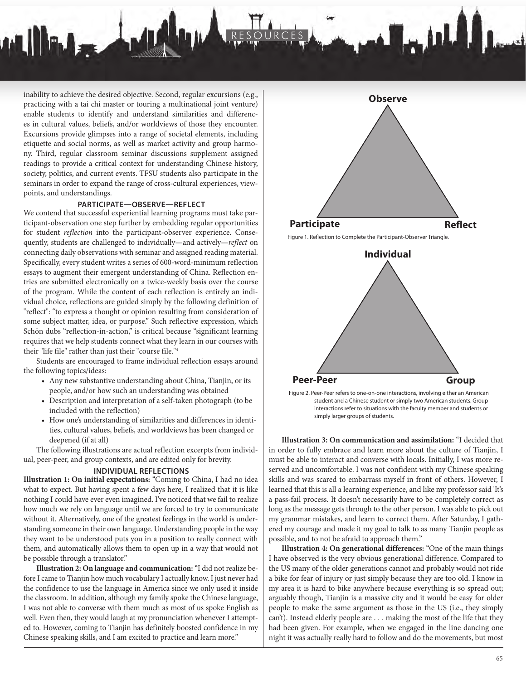inability to achieve the desired objective. Second, regular excursions (e.g., practicing with a tai chi master or touring a multinational joint venture) enable students to identify and understand similarities and differences in cultural values, beliefs, and/or worldviews of those they encounter. Excursions provide glimpses into a range of societal elements, including etiquette and social norms, as well as market activity and group harmony. Third, regular classroom seminar discussions supplement assigned readings to provide a critical context for understanding Chinese history, society, politics, and current events. TFSU students also participate in the seminars in order to expand the range of cross-cultural experiences, viewpoints, and understandings.

 $\mathbf{u}$ 

**Illinder** 

## **PARTICIPATE—OBSERVE—REFLECT**

We contend that successful experiential learning programs must take participant-observation one step further by embedding regular opportunities for student *reflection* into the participant-observer experience. Consequently, students are challenged to individually—and actively—*reflect* on connecting daily observations with seminar and assigned reading material. Specifically, every student writes a series of 600-word-minimum reflection essays to augment their emergent understanding of China. Reflection entries are submitted electronically on a twice-weekly basis over the course of the program. While the content of each reflection is entirely an individual choice, reflections are guided simply by the following definition of "reflect": "to express a thought or opinion resulting from consideration of some subject matter, idea, or purpose." Such reflective expression, which Schön dubs "reflection-in-action," is critical because "significant learning requires that we help students connect what they learn in our courses with their "life file" rather than just their "course file."4

Students are encouraged to frame individual reflection essays around the following topics/ideas:

- Any new substantive understanding about China, Tianjin, or its people, and/or how such an understanding was obtained
- Description and interpretation of a self-taken photograph (to be included with the reflection)
- How one's understanding of similarities and differences in identities, cultural values, beliefs, and worldviews has been changed or deepened (if at all)

The following illustrations are actual reflection excerpts from individual, peer-peer, and group contexts, and are edited only for brevity.

#### **INDIVIDUAL REFLECTIONS**

**Illustration 1: On initial expectations:** "Coming to China, I had no idea what to expect. But having spent a few days here, I realized that it is like nothing I could have ever even imagined. I've noticed that we fail to realize how much we rely on language until we are forced to try to communicate without it. Alternatively, one of the greatest feelings in the world is understanding someone in their own language. Understanding people in the way they want to be understood puts you in a position to really connect with them, and automatically allows them to open up in a way that would not be possible through a translator."

**Illustration 2: On language and communication:** "I did not realize before I came to Tianjin how much vocabulary I actually know. I just never had the confidence to use the language in America since we only used it inside the classroom. In addition, although my family spoke the Chinese language, I was not able to converse with them much as most of us spoke English as well. Even then, they would laugh at my pronunciation whenever I attempted to. However, coming to Tianjin has definitely boosted confidence in my Chinese speaking skills, and I am excited to practice and learn more."



RESOURCES

Figure 1. Reflection to Complete the Participant-Observer Triangle.



 Figure 2. Peer-Peer refers to one-on-one interactions, involving either an American student and a Chinese student or simply two American students. Group interactions refer to situations with the faculty member and students or simply larger groups of students.

**Illustration 3: On communication and assimilation:** "I decided that in order to fully embrace and learn more about the culture of Tianjin, I must be able to interact and converse with locals. Initially, I was more reserved and uncomfortable. I was not confident with my Chinese speaking skills and was scared to embarrass myself in front of others. However, I learned that this is all a learning experience, and like my professor said 'It's a pass-fail process. It doesn't necessarily have to be completely correct as long as the message gets through to the other person. I was able to pick out my grammar mistakes, and learn to correct them. After Saturday, I gathered my courage and made it my goal to talk to as many Tianjin people as possible, and to not be afraid to approach them."

**Illustration 4: On generational differences:** "One of the main things I have observed is the very obvious generational difference. Compared to the US many of the older generations cannot and probably would not ride a bike for fear of injury or just simply because they are too old. I know in my area it is hard to bike anywhere because everything is so spread out; arguably though, Tianjin is a massive city and it would be easy for older people to make the same argument as those in the US (i.e., they simply can't). Instead elderly people are . . . making the most of the life that they had been given. For example, when we engaged in the line dancing one night it was actually really hard to follow and do the movements, but most